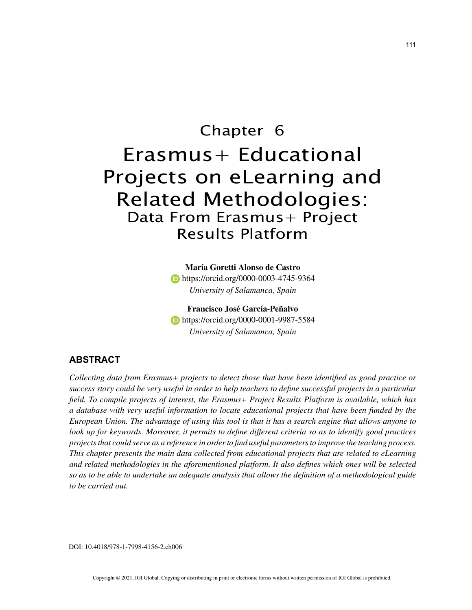# Chapter 6 Erasmus+ Educational Projects on eLearning and Related Methodologies: Data From Erasmus+ Project Results Platform

**María Goretti Alonso de Castro b** https://orcid.org/0000-0003-4745-9364 *University of Salamanca, Spain*

**Francisco José García-Peñalvo https://orcid.org/0000-0001-9987-5584** *University of Salamanca, Spain*

## **ABSTRACT**

*Collecting data from Erasmus+ projects to detect those that have been identified as good practice or success story could be very useful in order to help teachers to define successful projects in a particular field. To compile projects of interest, the Erasmus+ Project Results Platform is available, which has a database with very useful information to locate educational projects that have been funded by the European Union. The advantage of using this tool is that it has a search engine that allows anyone to look up for keywords. Moreover, it permits to define different criteria so as to identify good practices projects that could serve as a reference in order to find useful parameters to improve the teaching process. This chapter presents the main data collected from educational projects that are related to eLearning and related methodologies in the aforementioned platform. It also defines which ones will be selected so as to be able to undertake an adequate analysis that allows the definition of a methodological guide to be carried out.*

DOI: 10.4018/978-1-7998-4156-2.ch006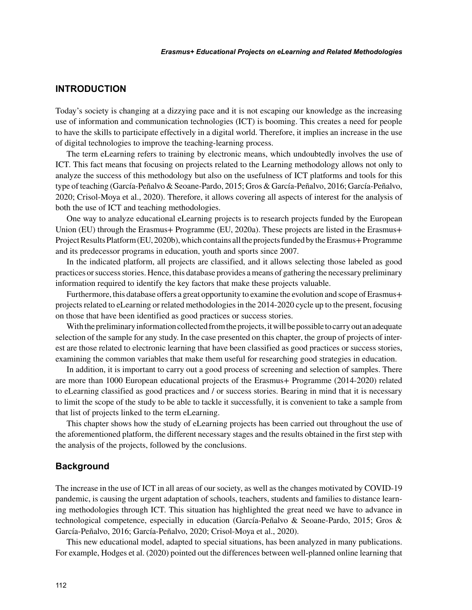# **INTRODUCTION**

Today's society is changing at a dizzying pace and it is not escaping our knowledge as the increasing use of information and communication technologies (ICT) is booming. This creates a need for people to have the skills to participate effectively in a digital world. Therefore, it implies an increase in the use of digital technologies to improve the teaching-learning process.

The term eLearning refers to training by electronic means, which undoubtedly involves the use of ICT. This fact means that focusing on projects related to the Learning methodology allows not only to analyze the success of this methodology but also on the usefulness of ICT platforms and tools for this type of teaching (García-Peñalvo & Seoane-Pardo, 2015; Gros & García-Peñalvo, 2016; García-Peñalvo, 2020; Crisol-Moya et al., 2020). Therefore, it allows covering all aspects of interest for the analysis of both the use of ICT and teaching methodologies.

One way to analyze educational eLearning projects is to research projects funded by the European Union (EU) through the Erasmus+ Programme (EU, 2020a). These projects are listed in the Erasmus+ Project Results Platform (EU, 2020b), which contains all the projects funded by the Erasmus+ Programme and its predecessor programs in education, youth and sports since 2007.

In the indicated platform, all projects are classified, and it allows selecting those labeled as good practices or success stories. Hence, this database provides a means of gathering the necessary preliminary information required to identify the key factors that make these projects valuable.

Furthermore, this database offers a great opportunity to examine the evolution and scope of Erasmus+ projects related to eLearning or related methodologies in the 2014-2020 cycle up to the present, focusing on those that have been identified as good practices or success stories.

With the preliminary information collected from the projects, it will be possible to carry out an adequate selection of the sample for any study. In the case presented on this chapter, the group of projects of interest are those related to electronic learning that have been classified as good practices or success stories, examining the common variables that make them useful for researching good strategies in education.

In addition, it is important to carry out a good process of screening and selection of samples. There are more than 1000 European educational projects of the Erasmus+ Programme (2014-2020) related to eLearning classified as good practices and / or success stories. Bearing in mind that it is necessary to limit the scope of the study to be able to tackle it successfully, it is convenient to take a sample from that list of projects linked to the term eLearning.

This chapter shows how the study of eLearning projects has been carried out throughout the use of the aforementioned platform, the different necessary stages and the results obtained in the first step with the analysis of the projects, followed by the conclusions.

#### **Background**

The increase in the use of ICT in all areas of our society, as well as the changes motivated by COVID-19 pandemic, is causing the urgent adaptation of schools, teachers, students and families to distance learning methodologies through ICT. This situation has highlighted the great need we have to advance in technological competence, especially in education (García-Peñalvo & Seoane-Pardo, 2015; Gros & García-Peñalvo, 2016; García-Peñalvo, 2020; Crisol-Moya et al., 2020).

This new educational model, adapted to special situations, has been analyzed in many publications. For example, Hodges et al. (2020) pointed out the differences between well-planned online learning that